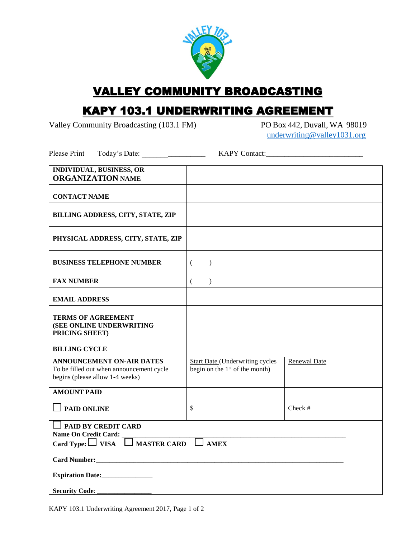

## VALLEY COMMUNITY BROADCASTING

## KAPY 103.1 UNDERWRITING AGREEMENT

Valley Community Broadcasting (103.1 FM) PO Box 442, Duvall, WA 98019

[underwriting@valley1031.org](mailto:underwriting@valley1031.org)

Please Print Today's Date: \_\_\_\_\_\_\_\_\_\_\_\_\_\_\_\_\_\_\_\_\_\_ KAPY Contact:\_\_\_\_\_\_\_\_\_\_\_\_\_\_\_\_\_\_

| <b>INDIVIDUAL, BUSINESS, OR</b><br><b>ORGANIZATION NAME</b>                                                              |                                                                                      |              |  |  |
|--------------------------------------------------------------------------------------------------------------------------|--------------------------------------------------------------------------------------|--------------|--|--|
| <b>CONTACT NAME</b>                                                                                                      |                                                                                      |              |  |  |
| BILLING ADDRESS, CITY, STATE, ZIP                                                                                        |                                                                                      |              |  |  |
| PHYSICAL ADDRESS, CITY, STATE, ZIP                                                                                       |                                                                                      |              |  |  |
| <b>BUSINESS TELEPHONE NUMBER</b>                                                                                         | $\left($<br>$\mathcal{E}$                                                            |              |  |  |
| <b>FAX NUMBER</b>                                                                                                        | $\mathcal{E}$<br>€                                                                   |              |  |  |
| <b>EMAIL ADDRESS</b>                                                                                                     |                                                                                      |              |  |  |
| <b>TERMS OF AGREEMENT</b><br>(SEE ONLINE UNDERWRITING<br>PRICING SHEET)                                                  |                                                                                      |              |  |  |
| <b>BILLING CYCLE</b>                                                                                                     |                                                                                      |              |  |  |
| <b>ANNOUNCEMENT ON-AIR DATES</b><br>To be filled out when announcement cycle<br>begins (please allow 1-4 weeks)          | <b>Start Date (Underwriting cycles</b><br>begin on the 1 <sup>st</sup> of the month) | Renewal Date |  |  |
| <b>AMOUNT PAID</b>                                                                                                       |                                                                                      |              |  |  |
| <b>PAID ONLINE</b>                                                                                                       | $\mathbb{S}$                                                                         | $Check$ #    |  |  |
| <b>DESPONDED PAID BY CREDIT CARD</b><br>Name On Credit Card:<br>Card Type: $\Box$ VISA $\Box$ MASTER CARD<br><b>AMEX</b> |                                                                                      |              |  |  |
| Card Number:                                                                                                             |                                                                                      |              |  |  |
| Expiration Date:                                                                                                         |                                                                                      |              |  |  |
| <b>Security Code:</b>                                                                                                    |                                                                                      |              |  |  |